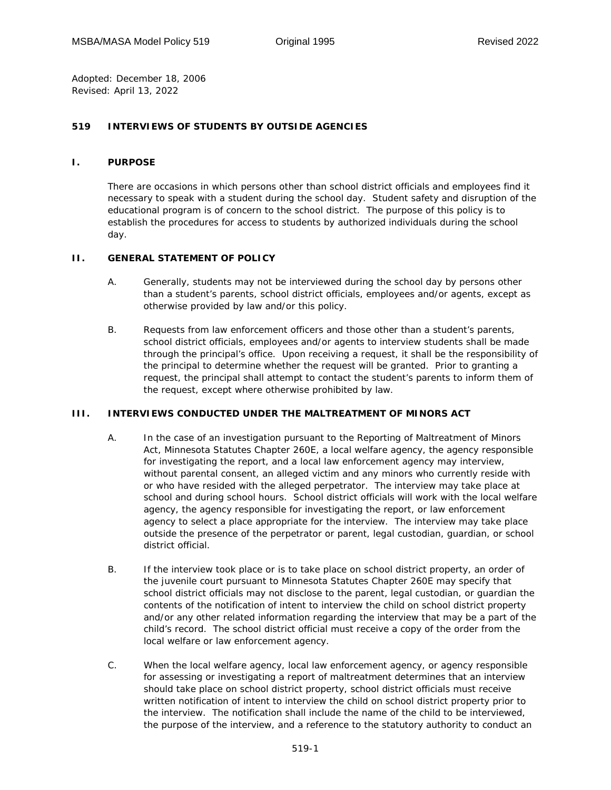*Adopted:* December 18, 2006 *Revised:* April 13, 2022

## **519 INTERVIEWS OF STUDENTS BY OUTSIDE AGENCIES**

## **I. PURPOSE**

There are occasions in which persons other than school district officials and employees find it necessary to speak with a student during the school day. Student safety and disruption of the educational program is of concern to the school district. The purpose of this policy is to establish the procedures for access to students by authorized individuals during the school day.

## **II. GENERAL STATEMENT OF POLICY**

- A. Generally, students may not be interviewed during the school day by persons other than a student's parents, school district officials, employees and/or agents, except as otherwise provided by law and/or this policy.
- B. Requests from law enforcement officers and those other than a student's parents, school district officials, employees and/or agents to interview students shall be made through the principal's office. Upon receiving a request, it shall be the responsibility of the principal to determine whether the request will be granted. Prior to granting a request, the principal shall attempt to contact the student's parents to inform them of the request, except where otherwise prohibited by law.

## **III. INTERVIEWS CONDUCTED UNDER THE MALTREATMENT OF MINORS ACT**

- A. In the case of an investigation pursuant to the Reporting of Maltreatment of Minors Act, Minnesota Statutes Chapter 260E, a local welfare agency, the agency responsible for investigating the report, and a local law enforcement agency may interview, without parental consent, an alleged victim and any minors who currently reside with or who have resided with the alleged perpetrator. The interview may take place at school and during school hours. School district officials will work with the local welfare agency, the agency responsible for investigating the report, or law enforcement agency to select a place appropriate for the interview. The interview may take place outside the presence of the perpetrator or parent, legal custodian, guardian, or school district official.
- B. If the interview took place or is to take place on school district property, an order of the juvenile court pursuant to Minnesota Statutes Chapter 260E may specify that school district officials may not disclose to the parent, legal custodian, or guardian the contents of the notification of intent to interview the child on school district property and/or any other related information regarding the interview that may be a part of the child's record. The school district official must receive a copy of the order from the local welfare or law enforcement agency.
- C. When the local welfare agency, local law enforcement agency, or agency responsible for assessing or investigating a report of maltreatment determines that an interview should take place on school district property, school district officials must receive written notification of intent to interview the child on school district property prior to the interview. The notification shall include the name of the child to be interviewed, the purpose of the interview, and a reference to the statutory authority to conduct an